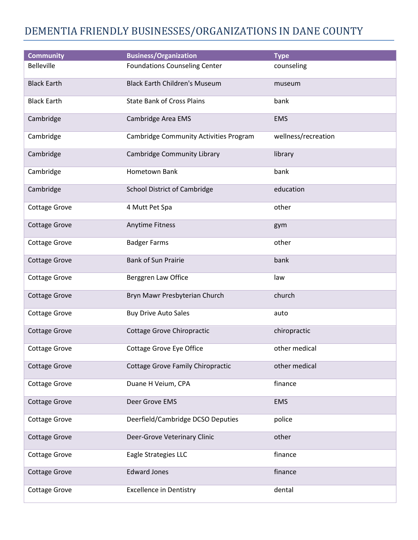## DEMENTIA FRIENDLY BUSINESSES/ORGANIZATIONS IN DANE COUNTY

| <b>Community</b>     | <b>Business/Organization</b>             | <b>Type</b>         |
|----------------------|------------------------------------------|---------------------|
| <b>Belleville</b>    | <b>Foundations Counseling Center</b>     | counseling          |
| <b>Black Earth</b>   | <b>Black Earth Children's Museum</b>     | museum              |
| <b>Black Earth</b>   | <b>State Bank of Cross Plains</b>        | bank                |
| Cambridge            | Cambridge Area EMS                       | <b>EMS</b>          |
| Cambridge            | Cambridge Community Activities Program   | wellness/recreation |
| Cambridge            | Cambridge Community Library              | library             |
| Cambridge            | Hometown Bank                            | bank                |
| Cambridge            | <b>School District of Cambridge</b>      | education           |
| <b>Cottage Grove</b> | 4 Mutt Pet Spa                           | other               |
| <b>Cottage Grove</b> | <b>Anytime Fitness</b>                   | gym                 |
| <b>Cottage Grove</b> | <b>Badger Farms</b>                      | other               |
| <b>Cottage Grove</b> | <b>Bank of Sun Prairie</b>               | bank                |
| <b>Cottage Grove</b> | Berggren Law Office                      | law                 |
| <b>Cottage Grove</b> | Bryn Mawr Presbyterian Church            | church              |
| <b>Cottage Grove</b> | <b>Buy Drive Auto Sales</b>              | auto                |
| <b>Cottage Grove</b> | Cottage Grove Chiropractic               | chiropractic        |
| <b>Cottage Grove</b> | <b>Cottage Grove Eye Office</b>          | other medical       |
| <b>Cottage Grove</b> | <b>Cottage Grove Family Chiropractic</b> | other medical       |
| <b>Cottage Grove</b> | Duane H Veium, CPA                       | finance             |
| <b>Cottage Grove</b> | Deer Grove EMS                           | <b>EMS</b>          |
| <b>Cottage Grove</b> | Deerfield/Cambridge DCSO Deputies        | police              |
| <b>Cottage Grove</b> | Deer-Grove Veterinary Clinic             | other               |
| <b>Cottage Grove</b> | Eagle Strategies LLC                     | finance             |
| <b>Cottage Grove</b> | <b>Edward Jones</b>                      | finance             |
| <b>Cottage Grove</b> | <b>Excellence in Dentistry</b>           | dental              |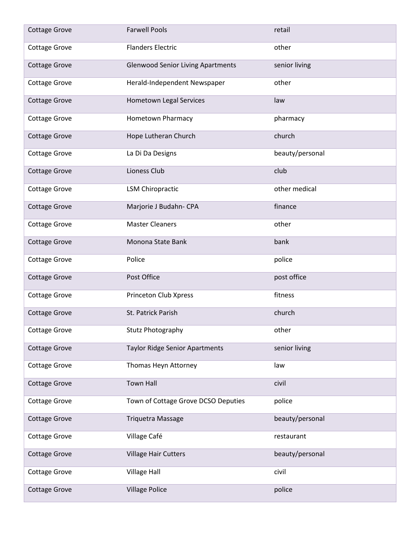| <b>Cottage Grove</b> | <b>Farwell Pools</b>                     | retail          |
|----------------------|------------------------------------------|-----------------|
| Cottage Grove        | <b>Flanders Electric</b>                 | other           |
| <b>Cottage Grove</b> | <b>Glenwood Senior Living Apartments</b> | senior living   |
| Cottage Grove        | Herald-Independent Newspaper             | other           |
| <b>Cottage Grove</b> | Hometown Legal Services                  | law             |
| <b>Cottage Grove</b> | Hometown Pharmacy                        | pharmacy        |
| <b>Cottage Grove</b> | Hope Lutheran Church                     | church          |
| <b>Cottage Grove</b> | La Di Da Designs                         | beauty/personal |
| <b>Cottage Grove</b> | Lioness Club                             | club            |
| <b>Cottage Grove</b> | <b>LSM Chiropractic</b>                  | other medical   |
| <b>Cottage Grove</b> | Marjorie J Budahn- CPA                   | finance         |
| Cottage Grove        | <b>Master Cleaners</b>                   | other           |
| <b>Cottage Grove</b> | Monona State Bank                        | bank            |
| Cottage Grove        | Police                                   | police          |
| <b>Cottage Grove</b> | Post Office                              | post office     |
| <b>Cottage Grove</b> | Princeton Club Xpress                    | fitness         |
| <b>Cottage Grove</b> | St. Patrick Parish                       | church          |
| Cottage Grove        | Stutz Photography                        | other           |
| <b>Cottage Grove</b> | <b>Taylor Ridge Senior Apartments</b>    | senior living   |
| Cottage Grove        | Thomas Heyn Attorney                     | law             |
| <b>Cottage Grove</b> | <b>Town Hall</b>                         | civil           |
| <b>Cottage Grove</b> | Town of Cottage Grove DCSO Deputies      | police          |
| <b>Cottage Grove</b> | <b>Triquetra Massage</b>                 | beauty/personal |
| <b>Cottage Grove</b> | Village Café                             | restaurant      |
| <b>Cottage Grove</b> | <b>Village Hair Cutters</b>              | beauty/personal |
| <b>Cottage Grove</b> | Village Hall                             | civil           |
| <b>Cottage Grove</b> | <b>Village Police</b>                    | police          |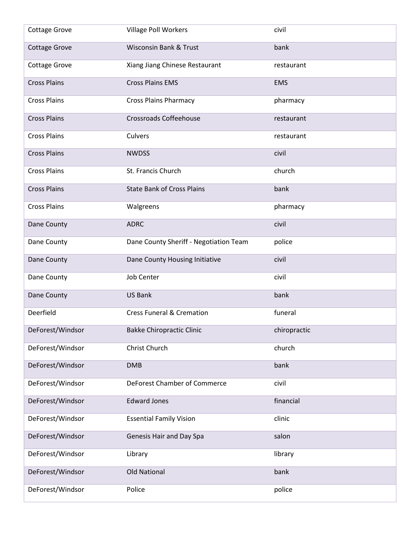| <b>Cottage Grove</b> | <b>Village Poll Workers</b>            | civil        |
|----------------------|----------------------------------------|--------------|
| <b>Cottage Grove</b> | <b>Wisconsin Bank &amp; Trust</b>      | bank         |
| Cottage Grove        | Xiang Jiang Chinese Restaurant         | restaurant   |
| <b>Cross Plains</b>  | <b>Cross Plains EMS</b>                | <b>EMS</b>   |
| <b>Cross Plains</b>  | <b>Cross Plains Pharmacy</b>           | pharmacy     |
| <b>Cross Plains</b>  | <b>Crossroads Coffeehouse</b>          | restaurant   |
| <b>Cross Plains</b>  | Culvers                                | restaurant   |
| <b>Cross Plains</b>  | <b>NWDSS</b>                           | civil        |
| <b>Cross Plains</b>  | St. Francis Church                     | church       |
| <b>Cross Plains</b>  | <b>State Bank of Cross Plains</b>      | bank         |
| <b>Cross Plains</b>  | Walgreens                              | pharmacy     |
| Dane County          | <b>ADRC</b>                            | civil        |
| Dane County          | Dane County Sheriff - Negotiation Team | police       |
| Dane County          | Dane County Housing Initiative         | civil        |
| Dane County          | <b>Job Center</b>                      | civil        |
| Dane County          | <b>US Bank</b>                         | bank         |
| Deerfield            | <b>Cress Funeral &amp; Cremation</b>   | funeral      |
| DeForest/Windsor     | <b>Bakke Chiropractic Clinic</b>       | chiropractic |
| DeForest/Windsor     | Christ Church                          | church       |
| DeForest/Windsor     | <b>DMB</b>                             | bank         |
| DeForest/Windsor     | DeForest Chamber of Commerce           | civil        |
| DeForest/Windsor     | <b>Edward Jones</b>                    | financial    |
| DeForest/Windsor     | <b>Essential Family Vision</b>         | clinic       |
| DeForest/Windsor     | Genesis Hair and Day Spa               | salon        |
| DeForest/Windsor     | Library                                | library      |
| DeForest/Windsor     | <b>Old National</b>                    | bank         |
| DeForest/Windsor     | Police                                 | police       |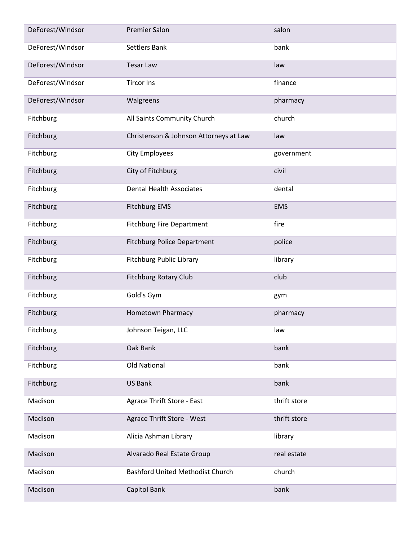| DeForest/Windsor | <b>Premier Salon</b>                    | salon        |
|------------------|-----------------------------------------|--------------|
| DeForest/Windsor | <b>Settlers Bank</b>                    | bank         |
| DeForest/Windsor | <b>Tesar Law</b>                        | law          |
| DeForest/Windsor | <b>Tircor Ins</b>                       | finance      |
| DeForest/Windsor | Walgreens                               | pharmacy     |
| Fitchburg        | All Saints Community Church             | church       |
| Fitchburg        | Christenson & Johnson Attorneys at Law  | law          |
| Fitchburg        | <b>City Employees</b>                   | government   |
| Fitchburg        | City of Fitchburg                       | civil        |
| Fitchburg        | <b>Dental Health Associates</b>         | dental       |
| Fitchburg        | <b>Fitchburg EMS</b>                    | <b>EMS</b>   |
| Fitchburg        | <b>Fitchburg Fire Department</b>        | fire         |
| Fitchburg        | <b>Fitchburg Police Department</b>      | police       |
| Fitchburg        | <b>Fitchburg Public Library</b>         | library      |
| Fitchburg        | <b>Fitchburg Rotary Club</b>            | club         |
| Fitchburg        | Gold's Gym                              | gym          |
| Fitchburg        | Hometown Pharmacy                       | pharmacy     |
| Fitchburg        | Johnson Teigan, LLC                     | law          |
| Fitchburg        | Oak Bank                                | bank         |
| Fitchburg        | Old National                            | bank         |
| Fitchburg        | <b>US Bank</b>                          | bank         |
| Madison          | Agrace Thrift Store - East              | thrift store |
| Madison          | Agrace Thrift Store - West              | thrift store |
| Madison          | Alicia Ashman Library                   | library      |
| Madison          | Alvarado Real Estate Group              | real estate  |
| Madison          | <b>Bashford United Methodist Church</b> | church       |
| Madison          | Capitol Bank                            | bank         |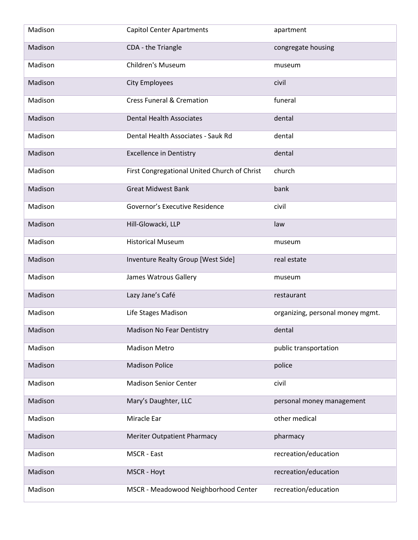| Madison | <b>Capitol Center Apartments</b>             | apartment                        |
|---------|----------------------------------------------|----------------------------------|
| Madison | CDA - the Triangle                           | congregate housing               |
| Madison | <b>Children's Museum</b>                     | museum                           |
| Madison | <b>City Employees</b>                        | civil                            |
| Madison | <b>Cress Funeral &amp; Cremation</b>         | funeral                          |
| Madison | <b>Dental Health Associates</b>              | dental                           |
| Madison | Dental Health Associates - Sauk Rd           | dental                           |
| Madison | <b>Excellence in Dentistry</b>               | dental                           |
| Madison | First Congregational United Church of Christ | church                           |
| Madison | <b>Great Midwest Bank</b>                    | bank                             |
| Madison | Governor's Executive Residence               | civil                            |
| Madison | Hill-Glowacki, LLP                           | law                              |
| Madison | <b>Historical Museum</b>                     | museum                           |
| Madison | Inventure Realty Group [West Side]           | real estate                      |
| Madison | James Watrous Gallery                        | museum                           |
| Madison | Lazy Jane's Café                             | restaurant                       |
| Madison | Life Stages Madison                          | organizing, personal money mgmt. |
| Madison | <b>Madison No Fear Dentistry</b>             | dental                           |
| Madison | <b>Madison Metro</b>                         | public transportation            |
| Madison | <b>Madison Police</b>                        | police                           |
| Madison | <b>Madison Senior Center</b>                 | civil                            |
| Madison | Mary's Daughter, LLC                         | personal money management        |
| Madison | Miracle Ear                                  | other medical                    |
| Madison | <b>Meriter Outpatient Pharmacy</b>           | pharmacy                         |
| Madison | MSCR - East                                  | recreation/education             |
| Madison | MSCR - Hoyt                                  | recreation/education             |
| Madison | MSCR - Meadowood Neighborhood Center         | recreation/education             |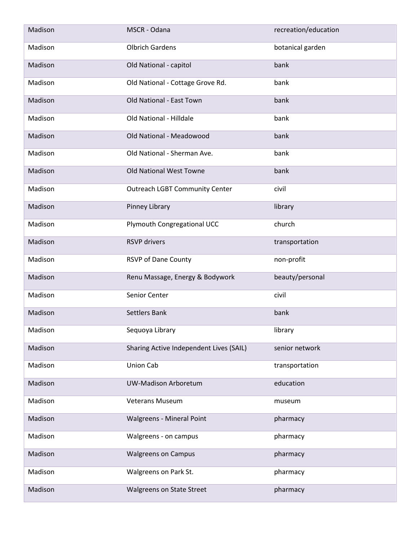| Madison | MSCR - Odana                            | recreation/education |
|---------|-----------------------------------------|----------------------|
| Madison | <b>Olbrich Gardens</b>                  | botanical garden     |
| Madison | Old National - capitol                  | bank                 |
| Madison | Old National - Cottage Grove Rd.        | bank                 |
| Madison | Old National - East Town                | bank                 |
| Madison | Old National - Hilldale                 | bank                 |
| Madison | Old National - Meadowood                | bank                 |
| Madison | Old National - Sherman Ave.             | bank                 |
| Madison | Old National West Towne                 | bank                 |
| Madison | <b>Outreach LGBT Community Center</b>   | civil                |
| Madison | Pinney Library                          | library              |
| Madison | Plymouth Congregational UCC             | church               |
| Madison | <b>RSVP</b> drivers                     | transportation       |
| Madison | <b>RSVP of Dane County</b>              | non-profit           |
| Madison | Renu Massage, Energy & Bodywork         | beauty/personal      |
| Madison | Senior Center                           | civil                |
| Madison | <b>Settlers Bank</b>                    | bank                 |
| Madison | Sequoya Library                         | library              |
| Madison | Sharing Active Independent Lives (SAIL) | senior network       |
| Madison | <b>Union Cab</b>                        | transportation       |
| Madison | <b>UW-Madison Arboretum</b>             | education            |
| Madison | <b>Veterans Museum</b>                  | museum               |
| Madison | <b>Walgreens - Mineral Point</b>        | pharmacy             |
| Madison | Walgreens - on campus                   | pharmacy             |
| Madison | <b>Walgreens on Campus</b>              | pharmacy             |
| Madison | Walgreens on Park St.                   | pharmacy             |
| Madison | Walgreens on State Street               | pharmacy             |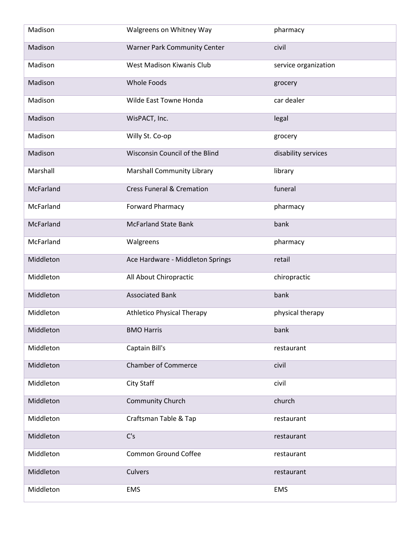| Madison   | Walgreens on Whitney Way             | pharmacy             |
|-----------|--------------------------------------|----------------------|
| Madison   | <b>Warner Park Community Center</b>  | civil                |
| Madison   | West Madison Kiwanis Club            | service organization |
| Madison   | <b>Whole Foods</b>                   | grocery              |
| Madison   | Wilde East Towne Honda               | car dealer           |
| Madison   | WisPACT, Inc.                        | legal                |
| Madison   | Willy St. Co-op                      | grocery              |
| Madison   | Wisconsin Council of the Blind       | disability services  |
| Marshall  | <b>Marshall Community Library</b>    | library              |
| McFarland | <b>Cress Funeral &amp; Cremation</b> | funeral              |
| McFarland | <b>Forward Pharmacy</b>              | pharmacy             |
| McFarland | <b>McFarland State Bank</b>          | bank                 |
| McFarland | Walgreens                            | pharmacy             |
| Middleton | Ace Hardware - Middleton Springs     | retail               |
| Middleton | All About Chiropractic               | chiropractic         |
| Middleton | <b>Associated Bank</b>               | bank                 |
| Middleton | <b>Athletico Physical Therapy</b>    | physical therapy     |
| Middleton | <b>BMO Harris</b>                    | bank                 |
| Middleton | Captain Bill's                       | restaurant           |
| Middleton | <b>Chamber of Commerce</b>           | civil                |
| Middleton | City Staff                           | civil                |
| Middleton | Community Church                     | church               |
| Middleton | Craftsman Table & Tap                | restaurant           |
| Middleton | C's                                  | restaurant           |
| Middleton | <b>Common Ground Coffee</b>          | restaurant           |
| Middleton | Culvers                              | restaurant           |
| Middleton | EMS                                  | <b>EMS</b>           |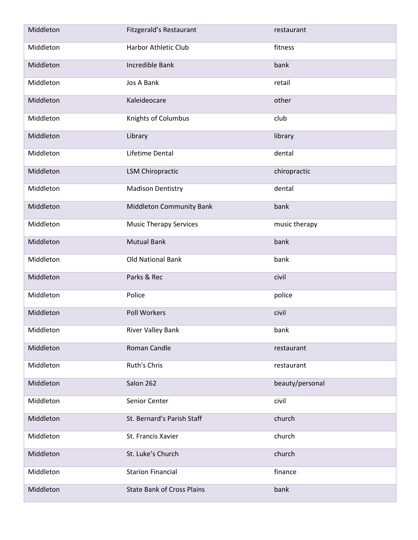| Middleton | Fitzgerald's Restaurant           | restaurant      |
|-----------|-----------------------------------|-----------------|
| Middleton | Harbor Athletic Club              | fitness         |
| Middleton | Incredible Bank                   | bank            |
| Middleton | Jos A Bank                        | retail          |
| Middleton | Kaleideocare                      | other           |
| Middleton | Knights of Columbus               | club            |
| Middleton | Library                           | library         |
| Middleton | Lifetime Dental                   | dental          |
| Middleton | <b>LSM Chiropractic</b>           | chiropractic    |
| Middleton | <b>Madison Dentistry</b>          | dental          |
| Middleton | <b>Middleton Community Bank</b>   | bank            |
| Middleton | <b>Music Therapy Services</b>     | music therapy   |
| Middleton | <b>Mutual Bank</b>                | bank            |
| Middleton | <b>Old National Bank</b>          | bank            |
| Middleton | Parks & Rec                       | civil           |
| Middleton | Police                            | police          |
| Middleton | Poll Workers                      | civil           |
| Middleton | <b>River Valley Bank</b>          | bank            |
| Middleton | Roman Candle                      | restaurant      |
| Middleton | Ruth's Chris                      | restaurant      |
| Middleton | Salon 262                         | beauty/personal |
| Middleton | Senior Center                     | civil           |
| Middleton | St. Bernard's Parish Staff        | church          |
| Middleton | St. Francis Xavier                | church          |
| Middleton | St. Luke's Church                 | church          |
| Middleton | <b>Starion Financial</b>          | finance         |
| Middleton | <b>State Bank of Cross Plains</b> | bank            |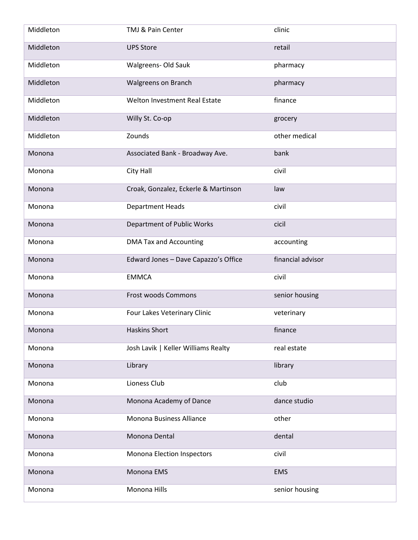| Middleton | TMJ & Pain Center                    | clinic            |
|-----------|--------------------------------------|-------------------|
| Middleton | <b>UPS Store</b>                     | retail            |
| Middleton | Walgreens- Old Sauk                  | pharmacy          |
| Middleton | Walgreens on Branch                  | pharmacy          |
| Middleton | Welton Investment Real Estate        | finance           |
| Middleton | Willy St. Co-op                      | grocery           |
| Middleton | Zounds                               | other medical     |
| Monona    | Associated Bank - Broadway Ave.      | bank              |
| Monona    | City Hall                            | civil             |
| Monona    | Croak, Gonzalez, Eckerle & Martinson | law               |
| Monona    | <b>Department Heads</b>              | civil             |
| Monona    | Department of Public Works           | cicil             |
| Monona    | <b>DMA Tax and Accounting</b>        | accounting        |
| Monona    | Edward Jones - Dave Capazzo's Office | financial advisor |
| Monona    | <b>EMMCA</b>                         | civil             |
| Monona    | <b>Frost woods Commons</b>           | senior housing    |
| Monona    | Four Lakes Veterinary Clinic         | veterinary        |
| Monona    | Haskins Short                        | finance           |
| Monona    | Josh Lavik   Keller Williams Realty  | real estate       |
| Monona    | Library                              | library           |
| Monona    | Lioness Club                         | club              |
| Monona    | Monona Academy of Dance              | dance studio      |
| Monona    | Monona Business Alliance             | other             |
| Monona    | Monona Dental                        | dental            |
| Monona    | Monona Election Inspectors           | civil             |
| Monona    | Monona EMS                           | <b>EMS</b>        |
| Monona    | Monona Hills                         | senior housing    |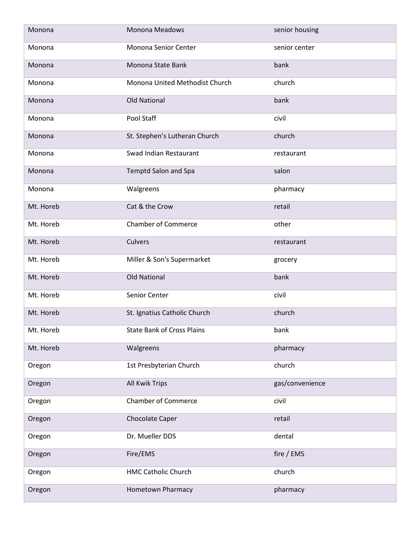| Monona    | <b>Monona Meadows</b>             | senior housing  |
|-----------|-----------------------------------|-----------------|
| Monona    | Monona Senior Center              | senior center   |
| Monona    | Monona State Bank                 | bank            |
| Monona    | Monona United Methodist Church    | church          |
| Monona    | <b>Old National</b>               | bank            |
| Monona    | Pool Staff                        | civil           |
| Monona    | St. Stephen's Lutheran Church     | church          |
| Monona    | Swad Indian Restaurant            | restaurant      |
| Monona    | Temptd Salon and Spa              | salon           |
| Monona    | Walgreens                         | pharmacy        |
| Mt. Horeb | Cat & the Crow                    | retail          |
| Mt. Horeb | <b>Chamber of Commerce</b>        | other           |
| Mt. Horeb | Culvers                           | restaurant      |
| Mt. Horeb | Miller & Son's Supermarket        | grocery         |
| Mt. Horeb | <b>Old National</b>               | bank            |
| Mt. Horeb | Senior Center                     | civil           |
| Mt. Horeb | St. Ignatius Catholic Church      | church          |
| Mt. Horeb | <b>State Bank of Cross Plains</b> | bank            |
| Mt. Horeb | Walgreens                         | pharmacy        |
| Oregon    | 1st Presbyterian Church           | church          |
| Oregon    | <b>All Kwik Trips</b>             | gas/convenience |
| Oregon    | <b>Chamber of Commerce</b>        | civil           |
| Oregon    | Chocolate Caper                   | retail          |
| Oregon    | Dr. Mueller DDS                   | dental          |
| Oregon    | Fire/EMS                          | fire / EMS      |
| Oregon    | <b>HMC Catholic Church</b>        | church          |
| Oregon    | Hometown Pharmacy                 | pharmacy        |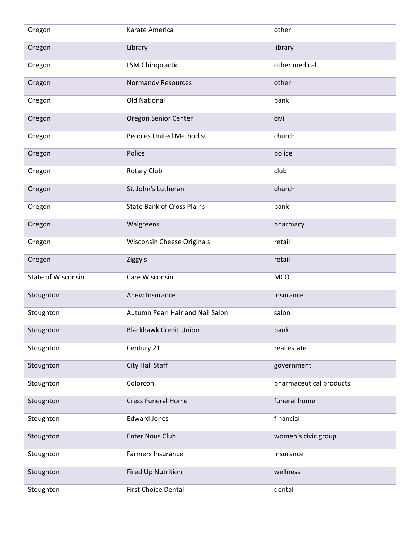| Oregon                    | Karate America                    | other                   |
|---------------------------|-----------------------------------|-------------------------|
| Oregon                    | Library                           | library                 |
| Oregon                    | <b>LSM Chiropractic</b>           | other medical           |
| Oregon                    | <b>Normandy Resources</b>         | other                   |
| Oregon                    | <b>Old National</b>               | bank                    |
| Oregon                    | Oregon Senior Center              | civil                   |
| Oregon                    | <b>Peoples United Methodist</b>   | church                  |
| Oregon                    | Police                            | police                  |
| Oregon                    | <b>Rotary Club</b>                | club                    |
| Oregon                    | St. John's Lutheran               | church                  |
| Oregon                    | <b>State Bank of Cross Plains</b> | bank                    |
| Oregon                    | Walgreens                         | pharmacy                |
| Oregon                    | Wisconsin Cheese Originals        | retail                  |
| Oregon                    | Ziggy's                           | retail                  |
| <b>State of Wisconsin</b> | Care Wisconsin                    | <b>MCO</b>              |
| Stoughton                 | Anew Insurance                    | insurance               |
| Stoughton                 | Autumn Pearl Hair and Nail Salon  | salon                   |
| Stoughton                 | <b>Blackhawk Credit Union</b>     | bank                    |
| Stoughton                 | Century 21                        | real estate             |
| Stoughton                 | City Hall Staff                   | government              |
| Stoughton                 | Colorcon                          | pharmaceutical products |
| Stoughton                 | <b>Cress Funeral Home</b>         | funeral home            |
| Stoughton                 | <b>Edward Jones</b>               | financial               |
| Stoughton                 | <b>Enter Nous Club</b>            | women's civic group     |
| Stoughton                 | Farmers Insurance                 | insurance               |
| Stoughton                 | Fired Up Nutrition                | wellness                |
| Stoughton                 | <b>First Choice Dental</b>        | dental                  |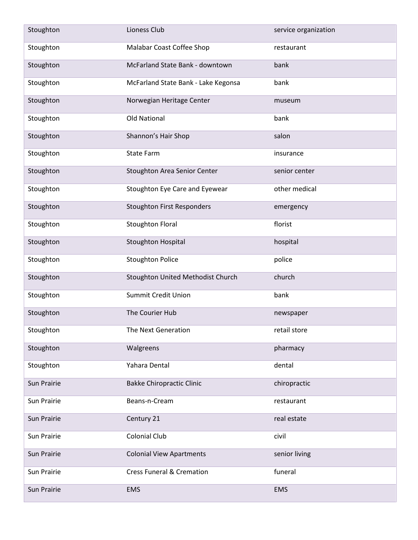| Stoughton   | Lioness Club                         | service organization |
|-------------|--------------------------------------|----------------------|
| Stoughton   | Malabar Coast Coffee Shop            | restaurant           |
| Stoughton   | McFarland State Bank - downtown      | bank                 |
| Stoughton   | McFarland State Bank - Lake Kegonsa  | bank                 |
| Stoughton   | Norwegian Heritage Center            | museum               |
| Stoughton   | <b>Old National</b>                  | bank                 |
| Stoughton   | Shannon's Hair Shop                  | salon                |
| Stoughton   | <b>State Farm</b>                    | insurance            |
| Stoughton   | Stoughton Area Senior Center         | senior center        |
| Stoughton   | Stoughton Eye Care and Eyewear       | other medical        |
| Stoughton   | <b>Stoughton First Responders</b>    | emergency            |
| Stoughton   | <b>Stoughton Floral</b>              | florist              |
| Stoughton   | Stoughton Hospital                   | hospital             |
| Stoughton   | <b>Stoughton Police</b>              | police               |
| Stoughton   | Stoughton United Methodist Church    | church               |
| Stoughton   | Summit Credit Union                  | bank                 |
| Stoughton   | The Courier Hub                      | newspaper            |
| Stoughton   | The Next Generation                  | retail store         |
| Stoughton   | Walgreens                            | pharmacy             |
| Stoughton   | Yahara Dental                        | dental               |
| Sun Prairie | <b>Bakke Chiropractic Clinic</b>     | chiropractic         |
| Sun Prairie | Beans-n-Cream                        | restaurant           |
| Sun Prairie | Century 21                           | real estate          |
| Sun Prairie | Colonial Club                        | civil                |
| Sun Prairie | <b>Colonial View Apartments</b>      | senior living        |
| Sun Prairie | <b>Cress Funeral &amp; Cremation</b> | funeral              |
| Sun Prairie | <b>EMS</b>                           | <b>EMS</b>           |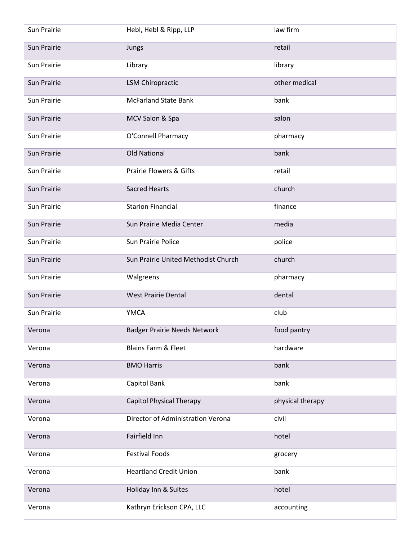| Sun Prairie | Hebl, Hebl & Ripp, LLP              | law firm         |
|-------------|-------------------------------------|------------------|
| Sun Prairie | Jungs                               | retail           |
| Sun Prairie | Library                             | library          |
| Sun Prairie | <b>LSM Chiropractic</b>             | other medical    |
| Sun Prairie | <b>McFarland State Bank</b>         | bank             |
| Sun Prairie | MCV Salon & Spa                     | salon            |
| Sun Prairie | O'Connell Pharmacy                  | pharmacy         |
| Sun Prairie | <b>Old National</b>                 | bank             |
| Sun Prairie | <b>Prairie Flowers &amp; Gifts</b>  | retail           |
| Sun Prairie | <b>Sacred Hearts</b>                | church           |
| Sun Prairie | <b>Starion Financial</b>            | finance          |
| Sun Prairie | Sun Prairie Media Center            | media            |
| Sun Prairie | Sun Prairie Police                  | police           |
| Sun Prairie | Sun Prairie United Methodist Church | church           |
| Sun Prairie | Walgreens                           | pharmacy         |
| Sun Prairie | <b>West Prairie Dental</b>          | dental           |
| Sun Prairie | <b>YMCA</b>                         | club             |
| Verona      | <b>Badger Prairie Needs Network</b> | food pantry      |
| Verona      | Blains Farm & Fleet                 | hardware         |
| Verona      | <b>BMO Harris</b>                   | bank             |
| Verona      | Capitol Bank                        | bank             |
| Verona      | <b>Capitol Physical Therapy</b>     | physical therapy |
| Verona      | Director of Administration Verona   | civil            |
| Verona      | Fairfield Inn                       | hotel            |
| Verona      | <b>Festival Foods</b>               | grocery          |
| Verona      | <b>Heartland Credit Union</b>       | bank             |
| Verona      | Holiday Inn & Suites                | hotel            |
| Verona      | Kathryn Erickson CPA, LLC           | accounting       |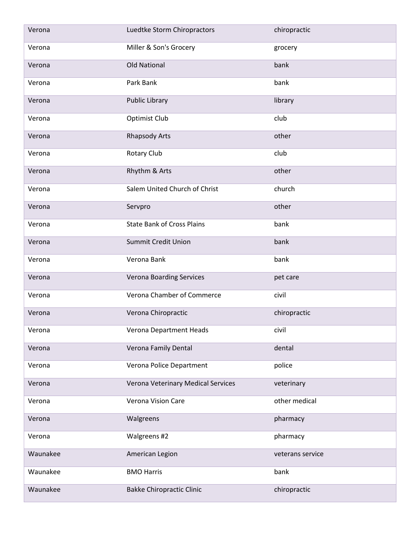| Verona   | Luedtke Storm Chiropractors        | chiropractic     |
|----------|------------------------------------|------------------|
| Verona   | Miller & Son's Grocery             | grocery          |
| Verona   | <b>Old National</b>                | bank             |
| Verona   | Park Bank                          | bank             |
| Verona   | <b>Public Library</b>              | library          |
| Verona   | Optimist Club                      | club             |
| Verona   | <b>Rhapsody Arts</b>               | other            |
| Verona   | <b>Rotary Club</b>                 | club             |
| Verona   | Rhythm & Arts                      | other            |
| Verona   | Salem United Church of Christ      | church           |
| Verona   | Servpro                            | other            |
| Verona   | <b>State Bank of Cross Plains</b>  | bank             |
| Verona   | <b>Summit Credit Union</b>         | bank             |
| Verona   | Verona Bank                        | bank             |
| Verona   | <b>Verona Boarding Services</b>    | pet care         |
| Verona   | Verona Chamber of Commerce         | civil            |
| Verona   | Verona Chiropractic                | chiropractic     |
| Verona   | Verona Department Heads            | civil            |
| Verona   | Verona Family Dental               | dental           |
| Verona   | Verona Police Department           | police           |
| Verona   | Verona Veterinary Medical Services | veterinary       |
| Verona   | Verona Vision Care                 | other medical    |
| Verona   | Walgreens                          | pharmacy         |
| Verona   | Walgreens #2                       | pharmacy         |
| Waunakee | American Legion                    | veterans service |
| Waunakee | <b>BMO Harris</b>                  | bank             |
| Waunakee | <b>Bakke Chiropractic Clinic</b>   | chiropractic     |